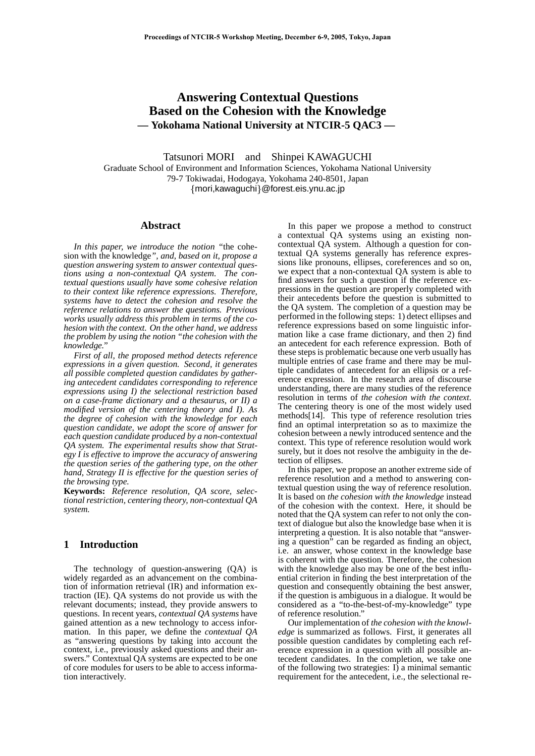# **Answering Contextual Questions Based on the Cohesion with the Knowledge — Yokohama National University at NTCIR-5 QAC3 —**

Tatsunori MORI and Shinpei KAWAGUCHI Graduate School of Environment and Information Sciences, Yokohama National University 79-7 Tokiwadai, Hodogaya, Yokohama 240-8501, Japan mori,kawaguchi@forest.eis.ynu.ac.jp

## **Abstract**

*In this paper, we introduce the notion "*the cohesion with the knowledge*", and, based on it, propose a question answering system to answer contextual questions using a non-contextual QA system. The contextual questions usually have some cohesive relation to their context like reference expressions. Therefore, systems have to detect the cohesion and resolve the reference relations to answer the questions. Previous works usually address this problem in terms of the cohesion with the context. On the other hand, we address the problem by using the notion "the cohesion with the knowledge."*

*First of all, the proposed method detects reference expressions in a given question. Second, it generates all possible completed question candidates by gathering antecedent candidates corresponding to reference expressions using I) the selectional restriction based on a case-frame dictionary and a thesaurus, or II) a modified version of the centering theory and I). As the degree of cohesion with the knowledge for each question candidate, we adopt the score of answer for each question candidate produced by a non-contextual QA system. The experimental results show that Strategy I is effective to improve the accuracy of answering the question series of the gathering type, on the other hand, Strategy II is effective for the question series of the browsing type.*

**Keywords:** *Reference resolution, QA score, selectional restriction, centering theory, non-contextual QA system.*

## **1 Introduction**

The technology of question-answering (QA) is widely regarded as an advancement on the combination of information retrieval (IR) and information extraction (IE). QA systems do not provide us with the relevant documents; instead, they provide answers to questions. In recent years, *contextual QA systems* have gained attention as a new technology to access information. In this paper, we define the *contextual QA* as "answering questions by taking into account the context, i.e., previously asked questions and their answers." Contextual QA systems are expected to be one of core modules for users to be able to access information interactively.

In this paper we propose a method to construct a contextual QA systems using an existing noncontextual QA system. Although a question for contextual QA systems generally has reference expressions like pronouns, ellipses, coreferences and so on, we expect that a non-contextual QA system is able to find answers for such a question if the reference expressions in the question are properly completed with their antecedents before the question is submitted to the QA system. The completion of a question may be performed in the following steps: 1) detect ellipses and reference expressions based on some linguistic information like a case frame dictionary, and then 2) find an antecedent for each reference expression. Both of these steps is problematic because one verb usually has multiple entries of case frame and there may be multiple candidates of antecedent for an ellipsis or a reference expression. In the research area of discourse understanding, there are many studies of the reference resolution in terms of the cohesion with the context. The centering theory is one of the most widely used methods[14]. This type of reference resolution tries find an optimal interpretation so as to maximize the cohesion between a newly introduced sentence and the context. This type of reference resolution would work surely, but it does not resolve the ambiguity in the detection of ellipses.

In this paper, we propose an another extreme side of reference resolution and a method to answering contextual question using the way of reference resolution. It is based on *the cohesion with the knowledge* instead of the cohesion with the context. Here, it should be noted that the QA system can refer to not only the context of dialogue but also the knowledge base when it is interpreting a question. It is also notable that "answering a question" can be regarded as finding an object, i.e. an answer, whose context in the knowledge base is coherent with the question. Therefore, the cohesion with the knowledge also may be one of the best influential criterion in finding the best interpretation of the question and consequently obtaining the best answer, if the question is ambiguous in a dialogue. It would be considered as a "to-the-best-of-my-knowledge" type of reference resolution."

Our implementation of *the cohesion with the knowledge* is summarized as follows. First, it generates all possible question candidates by completing each reference expression in a question with all possible antecedent candidates. In the completion, we take one of the following two strategies:  $I$ ) a minimal semantic requirement for the antecedent, i.e., the selectional re-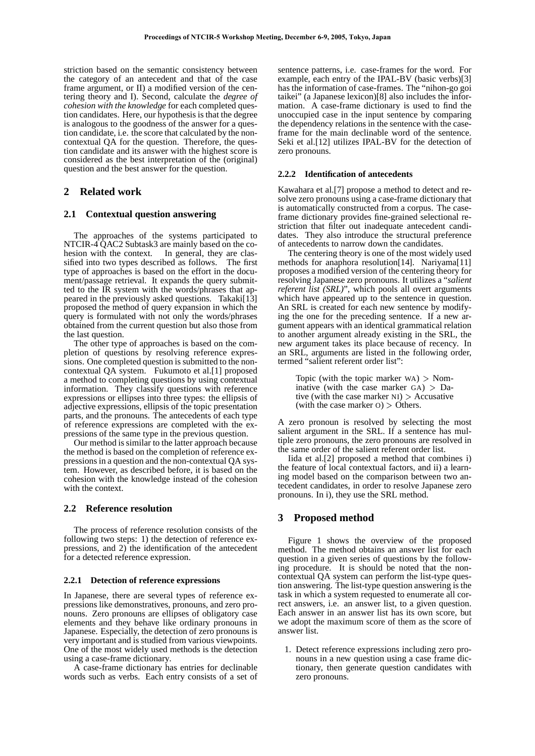striction based on the semantic consistency between the category of an antecedent and that of the case frame argument, or II) a modified version of the centering theory and I). Second, calculate the *degree of cohesion with the knowledge* for each completed question candidates. Here, our hypothesis is that the degree is analogous to the goodness of the answer for a question candidate, i.e. the score that calculated by the noncontextual QA for the question. Therefore, the question candidate and its answer with the highest score is considered as the best interpretation of the (original) question and the best answer for the question.

## **2 Related work**

## **2.1 Contextual question answering**

The approaches of the systems participated to NTCIR-4 OAC2 Subtask3 are mainly based on the cohesion with the context. In general, they are classified into two types described as follows. The first type of approaches is based on the effort in the document/passage retrieval. It expands the query submitted to the IR system with the words/phrases that appeared in the previously asked questions. Takaki[13] proposed the method of query expansion in which the query is formulated with not only the words/phrases obtained from the current question but also those from the last question.

The other type of approaches is based on the completion of questions by resolving reference expressions. One completed question is submitted to the noncontextual QA system. Fukumoto et al.[1] proposed a method to completing questions by using contextual information. They classify questions with reference expressions or ellipses into three types: the ellipsis of adjective expressions, ellipsis of the topic presentation parts, and the pronouns. The antecedents of each type of reference expressions are completed with the expressions of the same type in the previous question.

Our method is similar to the latter approach because the method is based on the completion of reference expressions in a question and the non-contextual QA system. However, as described before, it is based on the cohesion with the knowledge instead of the cohesion with the context.

## **2.2 Reference resolution**

The process of reference resolution consists of the following two steps: 1) the detection of reference expressions, and 2) the identification of the antecedent for a detected reference expression.

#### **2.2.1 Detection of reference expressions**

In Japanese, there are several types of reference expressions like demonstratives, pronouns, and zero pronouns. Zero pronouns are ellipses of obligatory case elements and they behave like ordinary pronouns in Japanese. Especially, the detection of zero pronouns is very important and is studied from various viewpoints. One of the most widely used methods is the detection using a case-frame dictionary.

A case-frame dictionary has entries for declinable words such as verbs. Each entry consists of a set of

sentence patterns, i.e. case-frames for the word. For example, each entry of the IPAL-BV (basic verbs)[3] has the information of case-frames. The "nihon-go goi taikei" (a Japanese lexicon)[8] also includes the information. A case-frame dictionary is used to find the unoccupied case in the input sentence by comparing the dependency relations in the sentence with the caseframe for the main declinable word of the sentence. Seki et al.[12] utilizes IPAL-BV for the detection of zero pronouns.

#### **2.2.2 Identification of antecedents**

Kawahara et al.[7] propose a method to detect and resolve zero pronouns using a case-frame dictionary that is automatically constructed from a corpus. The caseframe dictionary provides fine-grained selectional restriction that filter out inadequate antecedent candidates. They also introduce the structural preference of antecedents to narrow down the candidates.

The centering theory is one of the most widely used methods for anaphora resolution[14]. Nariyama[11] proposes a modified version of the centering theory for resolving Japanese zero pronouns. It utilizes a "*salient referent list (SRL)*", which pools all overt arguments which have appeared up to the sentence in question. An SRL is created for each new sentence by modifying the one for the preceding sentence. If a new argument appears with an identical grammatical relation to another argument already existing in the SRL, the new argument takes its place because of recency. In an SRL, arguments are listed in the following order, termed "salient referent order list":

Topic (with the topic marker  $WA$ )  $>$  Nominative (with the case marker  $GA$ ) > Dative (with the case marker  $NI$ ) > Accusative (with the case marker  $0$ )  $>$  Others.

A zero pronoun is resolved by selecting the most salient argument in the SRL. If a sentence has multiple zero pronouns, the zero pronouns are resolved in the same order of the salient referent order list.

Iida et al.[2] proposed a method that combines i) the feature of local contextual factors, and ii) a learning model based on the comparison between two antecedent candidates, in order to resolve Japanese zero pronouns. In i), they use the SRL method.

## **3 Proposed method**

Figure 1 shows the overview of the proposed method. The method obtains an answer list for each question in a given series of questions by the following procedure. It is should be noted that the noncontextual QA system can perform the list-type question answering. The list-type question answering is the task in which a system requested to enumerate all correct answers, i.e. an answer list, to a given question. Each answer in an answer list has its own score, but we adopt the maximum score of them as the score of answer list.

1. Detect reference expressions including zero pronouns in a new question using a case frame dictionary, then generate question candidates with zero pronouns.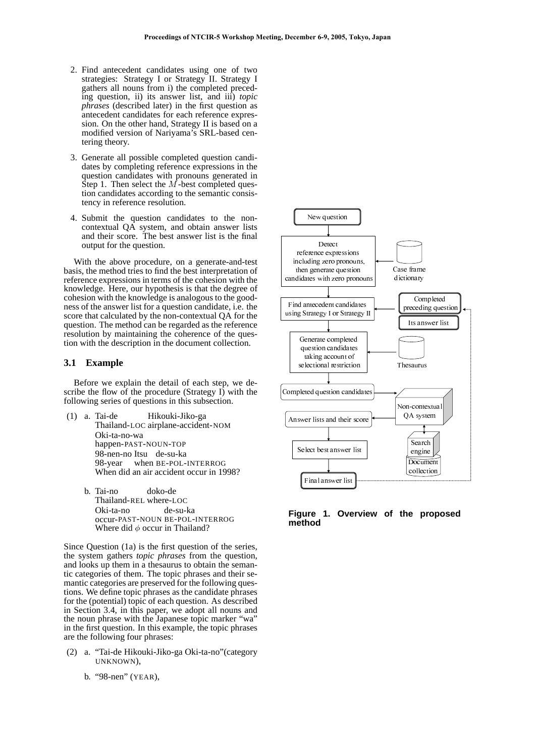- 2. Find antecedent candidates using one of two strategies: Strategy I or Strategy II. Strategy I gathers all nouns from i) the completed preceding question, ii) its answer list, and iii) *topic phrases* (described later) in the first question as antecedent candidates for each reference expression. On the other hand, Strategy II is based on a modified version of Nariyama's SRL-based centering theory.
- 3. Generate all possible completed question candidates by completing reference expressions in the question candidates with pronouns generated in Step 1. Then select the  $\overrightarrow{M}$ -best completed question candidates according to the semantic consistency in reference resolution.
- 4. Submit the question candidates to the noncontextual QA system, and obtain answer lists and their score. The best answer list is the final output for the question.

With the above procedure, on a generate-and-test basis, the method tries to find the best interpretation of reference expressions in terms of the cohesion with the knowledge. Here, our hypothesis is that the degree of cohesion with the knowledge is analogous to the goodness of the answer list for a question candidate, i.e. the score that calculated by the non-contextual QA for the question. The method can be regarded as the reference resolution by maintaining the coherence of the question with the description in the document collection.

#### **3.1 Example**

Before we explain the detail of each step, we describe the flow of the procedure (Strategy I) with the following series of questions in this subsection.

- (1) a. Tai-de Hikouki-Jiko-ga Thailand-LOC airplane-accident-NOM Oki-ta-no-wa happen-PAST-NOUN-TOP 98-nen-no Itsu de-su-ka 98-year when BE-POL-INTERROG When did an air accident occur in 1998?
	- b. Tai-no doko-de Thailand-REL where-LOC Oki-ta-no de-su-ka occur-PAST-NOUN BE-POL-INTERROG Where did  $\phi$  occur in Thailand?

Since Question (1a) is the first question of the series, the system gathers *topic phrases* from the question, and looks up them in a thesaurus to obtain the semantic categories of them. The topic phrases and their semantic categories are preserved for the following questions. We define topic phrases as the candidate phrases for the (potential) topic of each question. As described in Section 3.4, in this paper, we adopt all nouns and the noun phrase with the Japanese topic marker "wa" in the first question. In this example, the topic phrases are the following four phrases:

- (2) a. "Tai-de Hikouki-Jiko-ga Oki-ta-no"(category UNKNOWN),
	- b. "98-nen" (YEAR),



**Figure 1. Overview of the proposed method**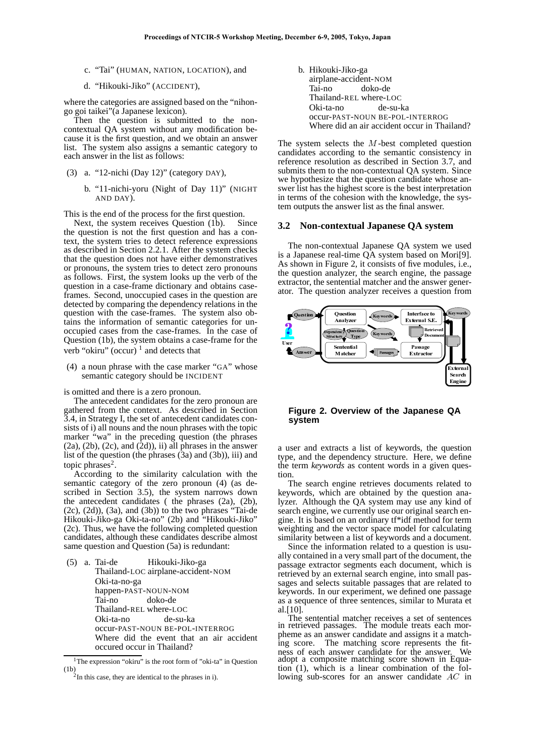- c. "Tai" (HUMAN, NATION, LOCATION), and
- d. "Hikouki-Jiko" (ACCIDENT),

where the categories are assigned based on the "nihongo goi taikei"(a Japanese lexicon).

Then the question is submitted to the noncontextual QA system without any modification because it is the first question, and we obtain an answer list. The system also assigns a semantic category to each answer in the list as follows:

- (3) a. "12-nichi (Day 12)" (category DAY),
	- b. "11-nichi-yoru (Night of Day 11)" (NIGHT AND DAY).

This is the end of the process for the first question.

Next, the system receives Question (1b). Since the question is not the first question and has a context, the system tries to detect reference expressions as described in Section 2.2.1. After the system checks that the question does not have either demonstratives or pronouns, the system tries to detect zero pronouns as follows. First, the system looks up the verb of the question in a case-frame dictionary and obtains caseframes. Second, unoccupied cases in the question are detected by comparing the dependency relations in the question with the case-frames. The system also obtains the information of semantic categories for unoccupied cases from the case-frames. In the case of Question (1b), the system obtains a case-frame for the verb "okiru" (occur)  $1$  and detects that

(4) a noun phrase with the case marker "GA" whose semantic category should be INCIDENT

is omitted and there is a zero pronoun.

The antecedent candidates for the zero pronoun are gathered from the context. As described in Section 3.4, in Strategy I, the set of antecedent candidates consists of i) all nouns and the noun phrases with the topic marker "wa" in the preceding question (the phrases  $(2a)$ ,  $(2b)$ ,  $(2c)$ , and  $(2d)$ ), ii) all phrases in the answer list of the question (the phrases  $(3a)$  and  $(3b)$ ), iii) and topic phrases $2$ .

According to the similarity calculation with the semantic category of the zero pronoun (4) (as described in Section 3.5), the system narrows down the antecedent candidates ( the phrases (2a), (2b), (2c), (2d)), (3a), and (3b)) to the two phrases "Tai-de Hikouki-Jiko-ga Oki-ta-no" (2b) and "Hikouki-Jiko" (2c). Thus, we have the following completed question candidates, although these candidates describe almost same question and Question (5a) is redundant:

|  | (5) a. Tai-de Hikouki-Jiko-ga            |
|--|------------------------------------------|
|  | Thailand-LOC airplane-accident-NOM       |
|  | Oki-ta-no-ga                             |
|  | happen-PAST-NOUN-NOM                     |
|  | Tai-no doko-de                           |
|  | Thailand-REL where-LOC                   |
|  | Oki-ta-no de-su-ka                       |
|  | OCCUI-PAST-NOUN BE-POL-INTERROG          |
|  | Where did the event that an air accident |
|  | occured occur in Thailand?               |
|  |                                          |

<sup>&</sup>lt;sup>1</sup>The expression "okiru" is the root form of "oki-ta" in Question  $(1b)$ 

b. Hikouki-Jiko-ga airplane-accident-NOM Tai-no doko-de Thailand-REL where-LOC Oki-ta-no de-su-ka occur-PAST-NOUN BE-POL-INTERROG Where did an air accident occur in Thailand?

The system selects the  $M$ -best completed question candidates according to the semantic consistency in reference resolution as described in Section 3.7, and submits them to the non-contextual QA system. Since we hypothesize that the question candidate whose answer list has the highest score is the best interpretation in terms of the cohesion with the knowledge, the system outputs the answer list as the final answer.

#### **3.2 Non-contextual Japanese QA system**

The non-contextual Japanese QA system we used is a Japanese real-time QA system based on Mori[9]. As shown in Figure 2, it consists of five modules, i.e., the question analyzer, the search engine, the passage extractor, the sentential matcher and the answer generator. The question analyzer receives a question from



#### **Figure 2. Overview of the Japanese QA system**

a user and extracts a list of keywords, the question type, and the dependency structure. Here, we define the term *keywords* as content words in a given question.

The search engine retrieves documents related to keywords, which are obtained by the question analyzer. Although the QA system may use any kind of search engine, we currently use our original search engine. It is based on an ordinary tf\*idf method for term weighting and the vector space model for calculating similarity between a list of keywords and a document.

Since the information related to a question is usually contained in a very small part of the document, the passage extractor segments each document, which is retrieved by an external search engine, into small passages and selects suitable passages that are related to keywords. In our experiment, we defined one passage as a sequence of three sentences, similar to Murata et al.[10].

The sentential matcher receives a set of sentences in retrieved passages. The module treats each morpheme as an answer candidate and assigns it a matching score. The matching score represents the fitness of each answer candidate for the answer. We adopt a composite matching score shown in Equation (1), which is a linear combination of the following sub-scores for an answer candidate  $AC$  in

 $2$ In this case, they are identical to the phrases in i).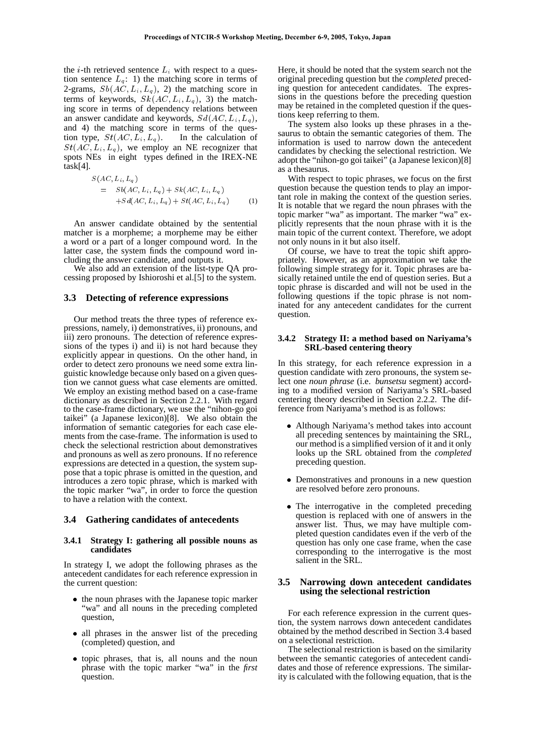the  $i$ -th retrieved sentence  $L_i$  with respect to a question sentence  $L_q$ : 1) the matching score in terms of 2-grams,  $Sb(AC, L_i, L_q)$ , 2) the matching score in terms of keywords,  $Sk(AC, L_i, L_q)$ , 3) the matching score in terms of dependency relations between an answer candidate and keywords,  $Sd(AC, L_i, L_a)$ , and 4) the matching score in terms of the question type,  $St(AC, L_i, L_q)$ . In the calculation of  $St(AC, L_i, L_q)$ , we employ an NE recognizer that spots NEs in eight types defined in the IREX-NE task[4].

$$
S(AC, L_i, L_q)
$$
  
=  $Sb(AC, L_i, L_q) + Sk(AC, L_i, L_q)$   
+ $Sd(AC, L_i, L_q) + St(AC, L_i, L_q)$  (1)

An answer candidate obtained by the sentential matcher is a morpheme; a morpheme may be either a word or a part of a longer compound word. In the latter case, the system finds the compound word including the answer candidate, and outputs it.

We also add an extension of the list-type QA processing proposed by Ishioroshi et al.[5] to the system.

## **3.3 Detecting of reference expressions**

Our method treats the three types of reference expressions, namely, i) demonstratives, ii) pronouns, and iii) zero pronouns. The detection of reference expressions of the types i) and ii) is not hard because they explicitly appear in questions. On the other hand, in order to detect zero pronouns we need some extra linguistic knowledge because only based on a given question we cannot guess what case elements are omitted. We employ an existing method based on a case-frame dictionary as described in Section 2.2.1. With regard to the case-frame dictionary, we use the "nihon-go goi taikei" (a Japanese lexicon)[8]. We also obtain the information of semantic categories for each case elements from the case-frame. The information is used to check the selectional restriction about demonstratives and pronouns as well as zero pronouns. If no reference expressions are detected in a question, the system suppose that a topic phrase is omitted in the question, and introduces a zero topic phrase, which is marked with the topic marker "wa", in order to force the question to have a relation with the context.

#### **3.4 Gathering candidates of antecedents**

#### **3.4.1 Strategy I: gathering all possible nouns as candidates**

In strategy I, we adopt the following phrases as the antecedent candidates for each reference expression in the current question:

- the noun phrases with the Japanese topic marker "wa" and all nouns in the preceding completed question,
- all phrases in the answer list of the preceding (completed) question, and
- topic phrases, that is, all nouns and the noun phrase with the topic marker "wa" in the *first* question.

Here, it should be noted that the system search not the original preceding question but the *completed* preceding question for antecedent candidates. The expressions in the questions before the preceding question may be retained in the completed question if the questions keep referring to them.

The system also looks up these phrases in a thesaurus to obtain the semantic categories of them. The information is used to narrow down the antecedent candidates by checking the selectional restriction. We adopt the "nihon-go goi taikei" (a Japanese lexicon)[8] as a thesaurus.

With respect to topic phrases, we focus on the first question because the question tends to play an important role in making the context of the question series. It is notable that we regard the noun phrases with the topic marker "wa" as important. The marker "wa" explicitly represents that the noun phrase with it is the main topic of the current context. Therefore, we adopt not only nouns in it but also itself.

Of course, we have to treat the topic shift appropriately. However, as an approximation we take the following simple strategy for it. Topic phrases are basically retained untile the end of question series. But a topic phrase is discarded and will not be used in the following questions if the topic phrase is not nominated for any antecedent candidates for the current question.

#### **3.4.2 Strategy II: a method based on Nariyama's SRL-based centering theory**

In this strategy, for each reference expression in a question candidate with zero pronouns, the system select one *noun phrase* (i.e. *bunsetsu* segment) according to a modified version of Nariyama's SRL-based centering theory described in Section 2.2.2. The difference from Nariyama's method is as follows:

- Although Nariyama's method takes into account all preceding sentences by maintaining the SRL, our method is a simplified version of it and it only looks up the SRL obtained from the *completed* preceding question.
- Demonstratives and pronouns in a new question are resolved before zero pronouns.
- The interrogative in the completed preceding question is replaced with one of answers in the answer list. Thus, we may have multiple completed question candidates even if the verb of the question has only one case frame, when the case corresponding to the interrogative is the most salient in the SRL.

#### **3.5 Narrowing down antecedent candidates using the selectional restriction**

For each reference expression in the current question, the system narrows down antecedent candidates obtained by the method described in Section 3.4 based on a selectional restriction.

The selectional restriction is based on the similarity between the semantic categories of antecedent candidates and those of reference expressions. The similarity is calculated with the following equation, that is the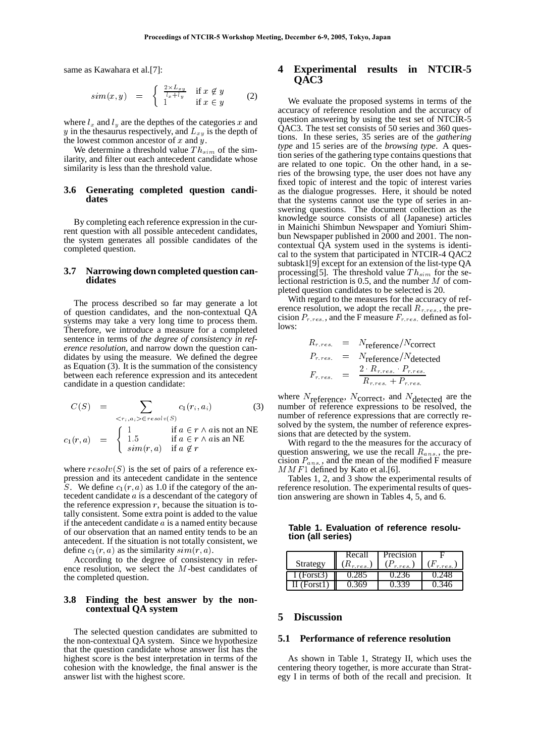same as Kawahara et al.[7]:

$$
sim(x, y) = \begin{cases} \frac{2 \times L_{xy}}{l_x + l_y} & \text{if } x \notin y \\ 1 & \text{if } x \in y \end{cases} \tag{2}
$$

where  $l_x$  and  $l_y$  are the depthes of the categories x and y in the thesaurus respectively, and  $L_{xy}$  is the depth of the lowest common ancestor of  $x$  and  $\hat{y}$ .

We determine a threshold value  $Th_{sim}$  of the similarity, and filter out each antecedent candidate whose similarity is less than the threshold value.

#### **3.6 Generating completed question candidates**

By completing each reference expression in the current question with all possible antecedent candidates, the system generates all possible candidates of the completed question.

#### **3.7 Narrowing down completed question candidates**

The process described so far may generate a lot of question candidates, and the non-contextual QA systems may take a very long time to process them. Therefore, we introduce a measure for a completed sentence in terms of *the degree of consistency in reference resolution*, and narrow down the question candidates by using the measure. We defined the degree as Equation (3). It is the summation of the consistency between each reference expression and its antecedent candidate in a question candidate:

$$
C(S) = \sum_{\langle r_i, a_i \rangle \in resolv(S)} c_1(r_i, a_i)
$$
(3)  

$$
c_1(r, a) = \begin{cases} 1 & \text{if } a \in r \land a \text{ is not an NE} \\ 1.5 & \text{if } a \in r \land a \text{ is an NE} \\ sim(r, a) & \text{if } a \notin r \end{cases}
$$

where  $resolv(S)$  is the set of pairs of a reference expression and its antecedent candidate in the sentence S. We define  $c_1(r, a)$  as 1.0 if the category of the antecedent candidate  $a$  is a descendant of the category of the reference expression  $r$ , because the situation is totally consistent. Some extra point is added to the value if the antecedent candidate  $\alpha$  is a named entity because of our observation that an named entity tends to be an antecedent. If the situation is not totally consistent, we define  $c_1(r, a)$  as the similarity  $sim(r, a)$ .

According to the degree of consistency in reference resolution, we select the  $M$ -best candidates of the completed question.

#### **3.8 Finding the best answer by the noncontextual QA system**

The selected question candidates are submitted to the non-contextual QA system. Since we hypothesize that the question candidate whose answer list has the highest score is the best interpretation in terms of the cohesion with the knowledge, the final answer is the answer list with the highest score.

## **4 Experimental results in NTCIR-5 QAC3**

We evaluate the proposed systems in terms of the accuracy of reference resolution and the accuracy of question answering by using the test set of NTCIR-5 QAC3. The test set consists of 50 series and 360 questions. In these series, 35 series are of the *gathering type* and 15 series are of the *browsing type*. A question series of the gathering type contains questions that are related to one topic. On the other hand, in a series of the browsing type, the user does not have any fixed topic of interest and the topic of interest varies as the dialogue progresses. Here, it should be noted that the systems cannot use the type of series in answering questions. The document collection as the knowledge source consists of all (Japanese) articles in Mainichi Shimbun Newspaper and Yomiuri Shimbun Newspaper published in 2000 and 2001. The noncontextual QA system used in the systems is identical to the system that participated in NTCIR-4 QAC2 subtask1[9] except for an extension of the list-type QA processing[5]. The threshold value  $Th_{sim}$  for the selectional restriction is 0.5, and the number  $M$  of completed question candidates to be selected is 20.

With regard to the measures for the accuracy of reference resolution, we adopt the recall  $R_{r,res}$ , the precision  $P_{r,res}$ , and the F measure  $F_{r,res}$  defined as follows:

$$
R_{r,res.} = N_{\text{reference}}/N_{\text{correct}}
$$
  
\n
$$
P_{r,res.} = N_{\text{reference}}/N_{\text{detected}}
$$
  
\n
$$
F_{r,res.} = \frac{2 \cdot R_{r,res.} \cdot P_{r,res.}}{R_{r,res.} + P_{r,res.}}
$$

where  $N_{\text{reference}}$ ,  $N_{\text{correct}}$ , and  $N_{\text{detected}}$  are the number of reference expressions to be resolved, the number of reference expressions that are correctly resolved by the system, the number of reference expressions that are detected by the system.

With regard to the the measures for the accuracy of question answering, we use the recall  $R_{ans}$ , the precision  $P_{ans}$ , and the mean of the modified F measure  $MMF1$  defined by Kato et al.[6].

Tables 1, 2, and 3 show the experimental results of reference resolution. The experimental results of question answering are shown in Tables 4, 5, and 6.

## **Table 1. Evaluation of reference resolution (all series)**

|             | Recall          | Precision      |                 |
|-------------|-----------------|----------------|-----------------|
| Strategy    | $(R_{r, res.})$ | $(F_{r,res.})$ | $(F_{r, res.})$ |
| I(Forst3)   |                 |                |                 |
| II (Forst1) |                 |                |                 |

### **5 Discussion**

## **5.1 Performance of reference resolution**

As shown in Table 1, Strategy II, which uses the centering theory together, is more accurate than Strategy I in terms of both of the recall and precision. It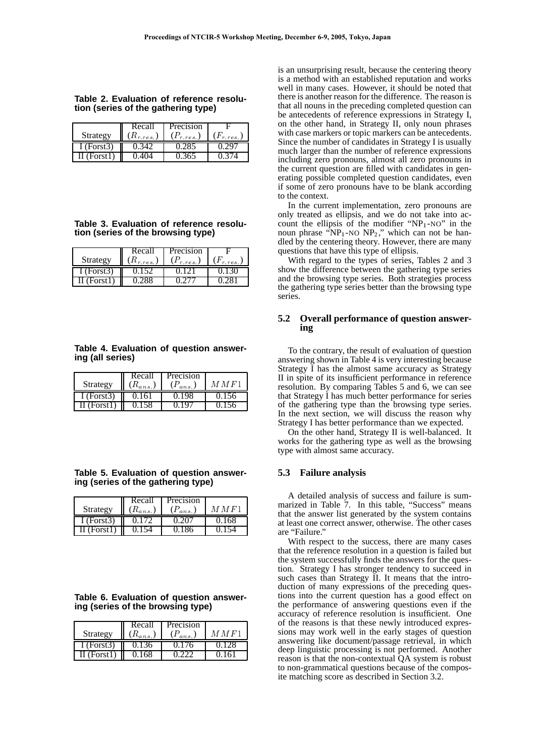|  |  |  |                                     | Table 2. Evaluation of reference resolu- |
|--|--|--|-------------------------------------|------------------------------------------|
|  |  |  | tion (series of the gathering type) |                                          |

|            | Recall                              | Precision      |                 |
|------------|-------------------------------------|----------------|-----------------|
| Strategy   | $\mathrel{\mathfrak{a}}_{r,res.}$ ) | $(P_{r,res.})$ | $(F_{r, res.})$ |
| I (Forst3) |                                     |                |                 |
| Forst l    |                                     |                |                 |

**Table 3. Evaluation of reference resolution (series of the browsing type)**

|            | Recall        | Precision                 |           |
|------------|---------------|---------------------------|-----------|
| Strategy   | $n_{r,res}$ ) | $(F_{r,\underline{res}})$ | $(F_{r.r$ |
| I (Forst3) |               |                           |           |
| II (Forst1 |               |                           |           |

## **Table 4. Evaluation of question answering (all series)**

|            | Recall        | Precision                  |      |
|------------|---------------|----------------------------|------|
| Strategy   | $\mu_{ans}$ . | $(F_{an\underline{s}}, F)$ | MMF1 |
| I (Forst3) |               | J.IY8                      |      |
| I (Forst1  |               |                            |      |

|  | Table 5. Evaluation of question answer- |  |
|--|-----------------------------------------|--|
|  | ing (series of the gathering type)      |  |

|                      | Recall        | Precision                  |         |
|----------------------|---------------|----------------------------|---------|
| Strategy             | $(R_{ans,J})$ | $(P_{a_{ns}}, P_{a_{ns}})$ | M M F 1 |
| I (Forst3)           | 0.172         | 0 20T                      |         |
| $\text{II}$ (Forst1) |               |                            |         |

**Table 6. Evaluation of question answering (series of the browsing type)**

| Strategy         | Recall<br>$(R_{a_{23}})$ | Precision<br>$(P_{a_{ms}})$ | M M F 1 |
|------------------|--------------------------|-----------------------------|---------|
| I (Forst3)       |                          |                             |         |
| $\prod$ (Forst1) | 0.168                    |                             |         |

is an unsurprising result, because the centering theory is a method with an established reputation and works well in many cases. However, it should be noted that there is another reason for the difference. The reason is that all nouns in the preceding completed question can be antecedents of reference expressions in Strategy I, on the other hand, in Strategy II, only noun phrases with case markers or topic markers can be antecedents. Since the number of candidates in Strategy I is usually much larger than the number of reference expressions including zero pronouns, almost all zero pronouns in the current question are filled with candidates in generating possible completed question candidates, even if some of zero pronouns have to be blank according to the context.

In the current implementation, zero pronouns are only treated as ellipsis, and we do not take into account the ellipsis of the modifier " $NP_1-NO$ " in the noun phrase " $NP_1$ -NO  $NP_2$ ," which can not be handled by the centering theory. However, there are many questions that have this type of ellipsis.

With regard to the types of series, Tables 2 and 3 show the difference between the gathering type series and the browsing type series. Both strategies process the gathering type series better than the browsing type series.

## **5.2 Overall performance of question answering**

To the contrary, the result of evaluation of question answering shown in Table 4 is very interesting because Strategy I has the almost same accuracy as Strategy II in spite of its insufficient performance in reference resolution. By comparing Tables 5 and 6, we can see that Strategy I has much better performance for series of the gathering type than the browsing type series. In the next section, we will discuss the reason why Strategy I has better performance than we expected.

On the other hand, Strategy II is well-balanced. It works for the gathering type as well as the browsing type with almost same accuracy.

## **5.3 Failure analysis**

A detailed analysis of success and failure is summarized in Table 7. In this table, "Success" means that the answer list generated by the system contains at least one correct answer, otherwise. The other cases are "Failure."

With respect to the success, there are many cases that the reference resolution in a question is failed but the system successfully finds the answers for the question. Strategy I has stronger tendency to succeed in such cases than Strategy II. It means that the introduction of many expressions of the preceding questions into the current question has a good effect on the performance of answering questions even if the accuracy of reference resolution is insufficient. One of the reasons is that these newly introduced expressions may work well in the early stages of question answering like document/passage retrieval, in which deep linguistic processing is not performed. Another reason is that the non-contextual QA system is robust to non-grammatical questions because of the composite matching score as described in Section 3.2.